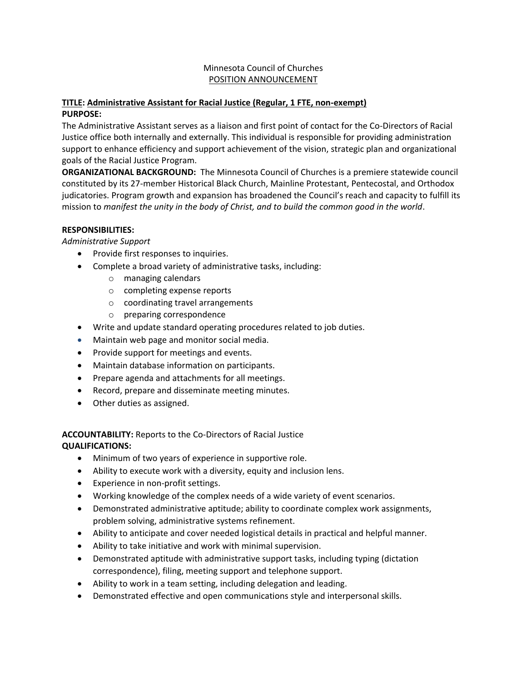## Minnesota Council of Churches POSITION ANNOUNCEMENT

#### **TITLE: Administrative Assistant for Racial Justice (Regular, 1 FTE, non-exempt) PURPOSE:**

The Administrative Assistant serves as a liaison and first point of contact for the Co-Directors of Racial Justice office both internally and externally. This individual is responsible for providing administration support to enhance efficiency and support achievement of the vision, strategic plan and organizational goals of the Racial Justice Program.

**ORGANIZATIONAL BACKGROUND:** The Minnesota Council of Churches is a premiere statewide council constituted by its 27-member Historical Black Church, Mainline Protestant, Pentecostal, and Orthodox judicatories. Program growth and expansion has broadened the Council's reach and capacity to fulfill its mission to *manifest the unity in the body of Christ, and to build the common good in the world*.

## **RESPONSIBILITIES:**

*Administrative Support* 

- Provide first responses to inquiries.
- Complete a broad variety of administrative tasks, including:
	- o managing calendars
	- o completing expense reports
	- o coordinating travel arrangements
	- o preparing correspondence
- Write and update standard operating procedures related to job duties.
- Maintain web page and monitor social media.
- Provide support for meetings and events.
- Maintain database information on participants.
- Prepare agenda and attachments for all meetings.
- Record, prepare and disseminate meeting minutes.
- Other duties as assigned.

#### **ACCOUNTABILITY:** Reports to the Co-Directors of Racial Justice **QUALIFICATIONS:**

- Minimum of two years of experience in supportive role.
- Ability to execute work with a diversity, equity and inclusion lens.
- Experience in non-profit settings.
- Working knowledge of the complex needs of a wide variety of event scenarios.
- Demonstrated administrative aptitude; ability to coordinate complex work assignments, problem solving, administrative systems refinement.
- Ability to anticipate and cover needed logistical details in practical and helpful manner.
- Ability to take initiative and work with minimal supervision.
- Demonstrated aptitude with administrative support tasks, including typing (dictation correspondence), filing, meeting support and telephone support.
- Ability to work in a team setting, including delegation and leading.
- Demonstrated effective and open communications style and interpersonal skills.